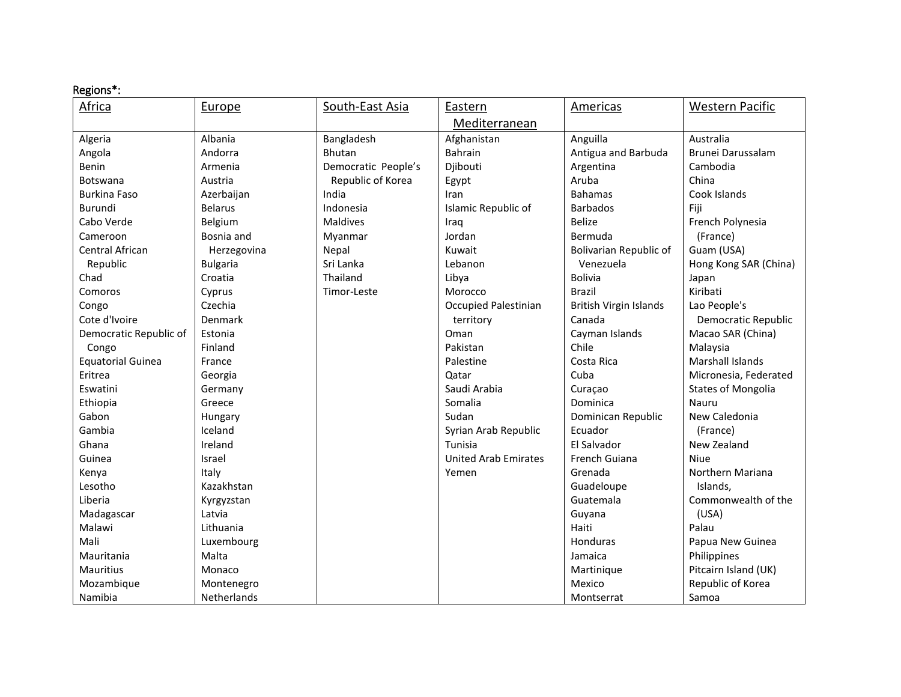## Regions\*:

| Africa                   | Europe             | South-East Asia     | Eastern                     | <b>Americas</b>               | <b>Western Pacific</b>    |
|--------------------------|--------------------|---------------------|-----------------------------|-------------------------------|---------------------------|
|                          |                    |                     | Mediterranean               |                               |                           |
| Algeria                  | Albania            | Bangladesh          | Afghanistan                 | Anguilla                      | Australia                 |
| Angola                   | Andorra            | <b>Bhutan</b>       | Bahrain                     | Antigua and Barbuda           | Brunei Darussalam         |
| Benin                    | Armenia            | Democratic People's | Djibouti                    | Argentina                     | Cambodia                  |
| <b>Botswana</b>          | Austria            | Republic of Korea   | Egypt                       | Aruba                         | China                     |
| <b>Burkina Faso</b>      | Azerbaijan         | India               | Iran                        | <b>Bahamas</b>                | Cook Islands              |
| <b>Burundi</b>           | <b>Belarus</b>     | Indonesia           | Islamic Republic of         | <b>Barbados</b>               | Fiji                      |
| Cabo Verde               | Belgium            | <b>Maldives</b>     | Iraq                        | <b>Belize</b>                 | French Polynesia          |
| Cameroon                 | Bosnia and         | Myanmar             | Jordan                      | Bermuda                       | (France)                  |
| Central African          | Herzegovina        | Nepal               | Kuwait                      | Bolivarian Republic of        | Guam (USA)                |
| Republic                 | <b>Bulgaria</b>    | Sri Lanka           | Lebanon                     | Venezuela                     | Hong Kong SAR (China)     |
| Chad                     | Croatia            | Thailand            | Libya                       | <b>Bolivia</b>                | Japan                     |
| Comoros                  | Cyprus             | Timor-Leste         | Morocco                     | <b>Brazil</b>                 | Kiribati                  |
| Congo                    | Czechia            |                     | <b>Occupied Palestinian</b> | <b>British Virgin Islands</b> | Lao People's              |
| Cote d'Ivoire            | Denmark            |                     | territory                   | Canada                        | Democratic Republic       |
| Democratic Republic of   | Estonia            |                     | Oman                        | Cayman Islands                | Macao SAR (China)         |
| Congo                    | Finland            |                     | Pakistan                    | Chile                         | Malaysia                  |
| <b>Equatorial Guinea</b> | France             |                     | Palestine                   | Costa Rica                    | Marshall Islands          |
| Eritrea                  | Georgia            |                     | Qatar                       | Cuba                          | Micronesia, Federated     |
| Eswatini                 | Germany            |                     | Saudi Arabia                | Curaçao                       | <b>States of Mongolia</b> |
| Ethiopia                 | Greece             |                     | Somalia                     | Dominica                      | Nauru                     |
| Gabon                    | Hungary            |                     | Sudan                       | Dominican Republic            | New Caledonia             |
| Gambia                   | Iceland            |                     | Syrian Arab Republic        | Ecuador                       | (France)                  |
| Ghana                    | Ireland            |                     | Tunisia                     | El Salvador                   | New Zealand               |
| Guinea                   | Israel             |                     | <b>United Arab Emirates</b> | French Guiana                 | Niue                      |
| Kenya                    | Italy              |                     | Yemen                       | Grenada                       | Northern Mariana          |
| Lesotho                  | Kazakhstan         |                     |                             | Guadeloupe                    | Islands,                  |
| Liberia                  | Kyrgyzstan         |                     |                             | Guatemala                     | Commonwealth of the       |
| Madagascar               | Latvia             |                     |                             | Guyana                        | (USA)                     |
| Malawi                   | Lithuania          |                     |                             | Haiti                         | Palau                     |
| Mali                     | Luxembourg         |                     |                             | Honduras                      | Papua New Guinea          |
| Mauritania               | Malta              |                     |                             | Jamaica                       | Philippines               |
| Mauritius                | Monaco             |                     |                             | Martinique                    | Pitcairn Island (UK)      |
| Mozambique               | Montenegro         |                     |                             | Mexico                        | Republic of Korea         |
| Namibia                  | <b>Netherlands</b> |                     |                             | Montserrat                    | Samoa                     |